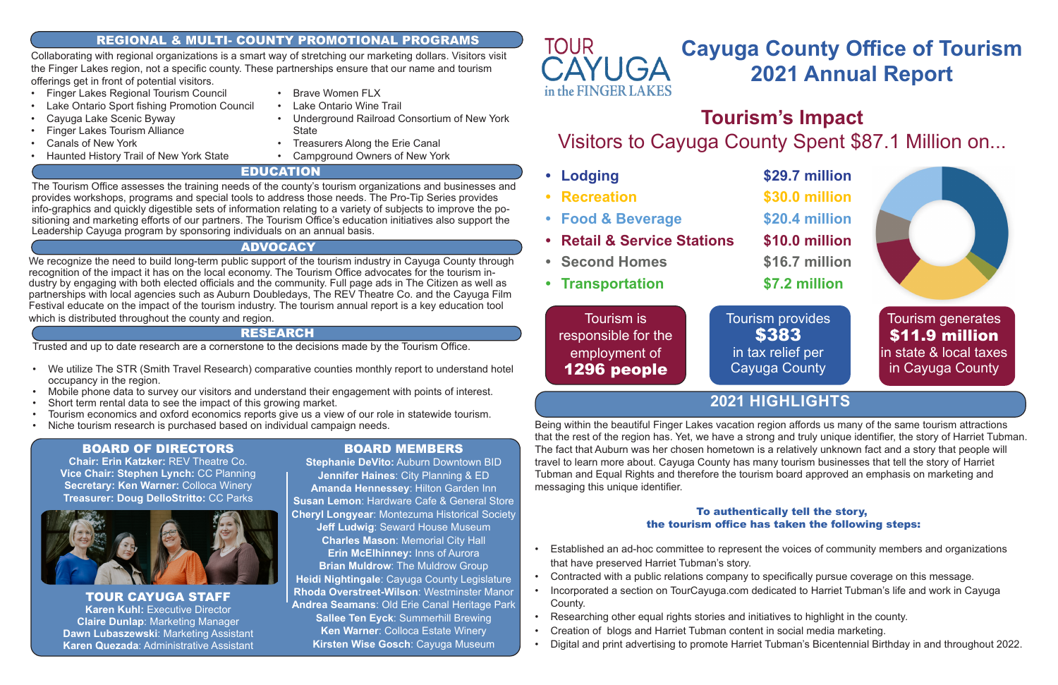# **Cayuga County Office of Tourism 2021 Annual Report**

**Tourism's Impact** Visitors to Cayuga County Spent \$87.1 Million on...



Tourism is responsible for the employment of 1296 people

Tourism generates \$11.9 million in state & local taxes in Cayuga County

Tourism provides \$383 in tax relief per Cayuga County

TOUR CAYUGA STAFF **Karen Kuhl:** Executive Director **Claire Dunlap**: Marketing Manager **Dawn Lubaszewski**: Marketing Assistant **Karen Quezada**: Administrative Assistant

# BOARD OF DIRECTORS

**Chair: Erin Katzker:** REV Theatre Co. **Vice Chair: Stephen Lynch:** CC Planning **Secretary: Ken Warner:** Colloca Winery **Treasurer: Doug DelloStritto:** CC Parks



# RESEARCH

Trusted and up to date research are a cornerstone to the decisions made by the Tourism Office.

We recognize the need to build long-term public support of the tourism industry in Cayuga County through recognition of the impact it has on the local economy. The Tourism Office advocates for the tourism industry by engaging with both elected officials and the community. Full page ads in The Citizen as well as partnerships with local agencies such as Auburn Doubledays, The REV Theatre Co. and the Cayuga Film Festival educate on the impact of the tourism industry. The tourism annual report is a key education tool which is distributed throughout the county and region.

- We utilize The STR (Smith Travel Research) comparative counties monthly report to understand hotel occupancy in the region.
- Mobile phone data to survey our visitors and understand their engagement with points of interest.
- Short term rental data to see the impact of this growing market.
- Tourism economics and oxford economics reports give us a view of our role in statewide tourism.
- Niche tourism research is purchased based on individual campaign needs.

The Tourism Office assesses the training needs of the county's tourism organizations and businesses and provides workshops, programs and special tools to address those needs. The Pro-Tip Series provides info-graphics and quickly digestible sets of information relating to a variety of subjects to improve the positioning and marketing efforts of our partners. The Tourism Office's education initiatives also support the Leadership Cayuga program by sponsoring individuals on an annual basis.

- **• Lodging \$29.7 million**
- **• Recreation \$30.0 million**
- **• Food & Beverage \$20.4 million**
- **• Retail & Service Stations \$10.0 million**
- **• Second Homes \$16.7 million**
- **• Transportation \$7.2 million**

Being within the beautiful Finger Lakes vacation region affords us many of the same tourism attractions that the rest of the region has. Yet, we have a strong and truly unique identifier, the story of Harriet Tubman. The fact that Auburn was her chosen hometown is a relatively unknown fact and a story that people will travel to learn more about. Cayuga County has many tourism businesses that tell the story of Harriet Tubman and Equal Rights and therefore the tourism board approved an emphasis on marketing and messaging this unique identifier.

# To authentically tell the story, the tourism office has taken the following steps:

• Established an ad-hoc committee to represent the voices of community members and organizations

- Finger Lakes Regional Tourism Council
- Lake Ontario Sport fishing Promotion Council
- Cayuga Lake Scenic Byway
- Finger Lakes Tourism Alliance
- Canals of New York
- Haunted History Trail of New York State
- Brave Women FLX
- Lake Ontario Wine Trail
- Underground Railroad Consortium of New York **State**
- Treasurers Along the Erie Canal
- Campground Owners of New York

- that have preserved Harriet Tubman's story.
- Contracted with a public relations company to specifically pursue coverage on this message.
- Incorporated a section on TourCayuga.com dedicated to Harriet Tubman's life and work in Cayuga County.
- Researching other equal rights stories and initiatives to highlight in the county.
- Creation of blogs and Harriet Tubman content in social media marketing.
- Digital and print advertising to promote Harriet Tubman's Bicentennial Birthday in and throughout 2022.

Collaborating with regional organizations is a smart way of stretching our marketing dollars. Visitors visit the Finger Lakes region, not a specific county. These partnerships ensure that our name and tourism offerings get in front of potential visitors.

# **2021 HIGHLIGHTS**

# REGIONAL & MULTI- COUNTY PROMOTIONAL PROGRAMS

# EDUCATION

# ADVOCACY

# BOARD MEMBERS

**Stephanie DeVito:** Auburn Downtown BID **Jennifer Haines**: City Planning & ED **Amanda Hennessey**: Hilton Garden Inn **Susan Lemon**: Hardware Cafe & General Store **Cheryl Longyear**: Montezuma Historical Society **Jeff Ludwig**: Seward House Museum **Charles Mason**: Memorial City Hall **Erin McElhinney:** Inns of Aurora **Brian Muldrow**: The Muldrow Group **Heidi Nightingale**: Cayuga County Legislature **Rhoda Overstreet-Wilson**: Westminster Manor **Andrea Seamans**: Old Erie Canal Heritage Park **Sallee Ten Eyck**: Summerhill Brewing **Ken Warner**: Colloca Estate Winery **Kirsten Wise Gosch**: Cayuga Museum